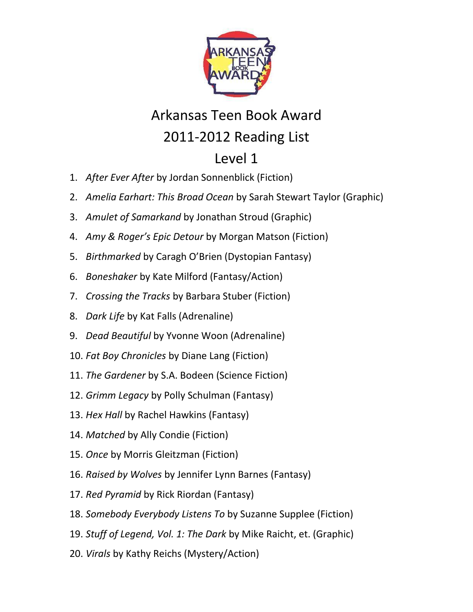

## Arkansas Teen Book Award 2011-2012 Reading List

## Level 1

- 1. *After Ever After* by Jordan Sonnenblick (Fiction)
- 2. *Amelia Earhart: This Broad Ocean* by Sarah Stewart Taylor (Graphic)
- 3. *Amulet of Samarkand* by Jonathan Stroud (Graphic)
- 4. *Amy & Roger's Epic Detour* by Morgan Matson (Fiction)
- 5. *Birthmarked* by Caragh O'Brien (Dystopian Fantasy)
- 6. *Boneshaker* by Kate Milford (Fantasy/Action)
- 7. *Crossing the Tracks* by Barbara Stuber (Fiction)
- 8. *Dark Life* by Kat Falls (Adrenaline)
- 9. *Dead Beautiful* by Yvonne Woon (Adrenaline)
- 10. *Fat Boy Chronicles* by Diane Lang (Fiction)
- 11. *The Gardener* by S.A. Bodeen (Science Fiction)
- 12. *Grimm Legacy* by Polly Schulman (Fantasy)
- 13. *Hex Hall* by Rachel Hawkins (Fantasy)
- 14. *Matched* by Ally Condie (Fiction)
- 15. *Once* by Morris Gleitzman (Fiction)
- 16. *Raised by Wolves* by Jennifer Lynn Barnes (Fantasy)
- 17. *Red Pyramid* by Rick Riordan (Fantasy)
- 18. *Somebody Everybody Listens To* by Suzanne Supplee (Fiction)
- 19. *Stuff of Legend, Vol. 1: The Dark* by Mike Raicht, et. (Graphic)
- 20. *Virals* by Kathy Reichs (Mystery/Action)